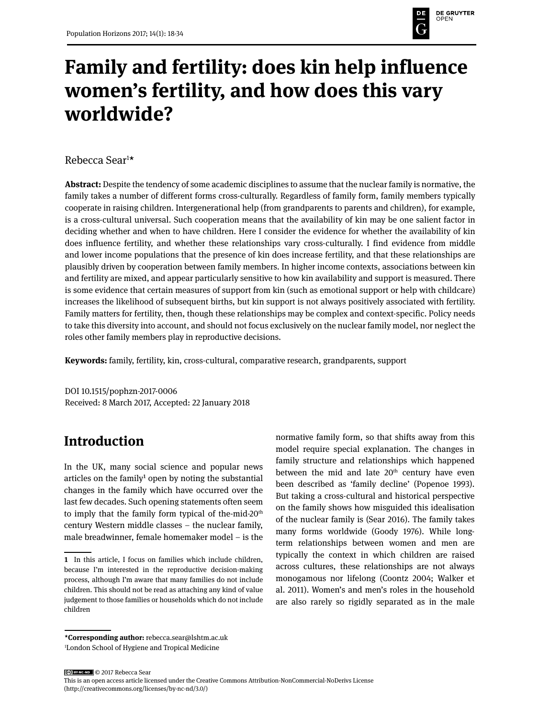

# **Family and fertility: does kin help influence women's fertility, and how does this vary worldwide?**

Rebecca Sear1 \*

**Abstract:** Despite the tendency of some academic disciplines to assume that the nuclear family is normative, the family takes a number of different forms cross-culturally. Regardless of family form, family members typically cooperate in raising children. Intergenerational help (from grandparents to parents and children), for example, is a cross-cultural universal. Such cooperation means that the availability of kin may be one salient factor in deciding whether and when to have children. Here I consider the evidence for whether the availability of kin does influence fertility, and whether these relationships vary cross-culturally. I find evidence from middle and lower income populations that the presence of kin does increase fertility, and that these relationships are plausibly driven by cooperation between family members. In higher income contexts, associations between kin and fertility are mixed, and appear particularly sensitive to how kin availability and support is measured. There is some evidence that certain measures of support from kin (such as emotional support or help with childcare) increases the likelihood of subsequent births, but kin support is not always positively associated with fertility. Family matters for fertility, then, though these relationships may be complex and context-specific. Policy needs to take this diversity into account, and should not focus exclusively on the nuclear family model, nor neglect the roles other family members play in reproductive decisions.

**Keywords:** family, fertility, kin, cross-cultural, comparative research, grandparents, support

DOI 10.1515/pophzn-2017-0006 Received: 8 March 2017, Accepted: 22 January 2018

# **Introduction**

In the UK, many social science and popular news articles on the family<sup>1</sup> open by noting the substantial changes in the family which have occurred over the last few decades. Such opening statements often seem to imply that the family form typical of the-mid-20<sup>th</sup> century Western middle classes – the nuclear family, male breadwinner, female homemaker model – is the normative family form, so that shifts away from this model require special explanation. The changes in family structure and relationships which happened between the mid and late  $20<sup>th</sup>$  century have even been described as 'family decline' (Popenoe 1993). But taking a cross-cultural and historical perspective on the family shows how misguided this idealisation of the nuclear family is (Sear 2016). The family takes many forms worldwide (Goody 1976). While longterm relationships between women and men are typically the context in which children are raised across cultures, these relationships are not always monogamous nor lifelong (Coontz 2004; Walker et al. 2011). Women's and men's roles in the household are also rarely so rigidly separated as in the male

**\*Corresponding author:** rebecca.sear@lshtm.ac.uk 1 London School of Hygiene and Tropical Medicine

**<sup>1</sup>** In this article, I focus on families which include children, because I'm interested in the reproductive decision-making process, although I'm aware that many families do not include children. This should not be read as attaching any kind of value judgement to those families or households which do not include children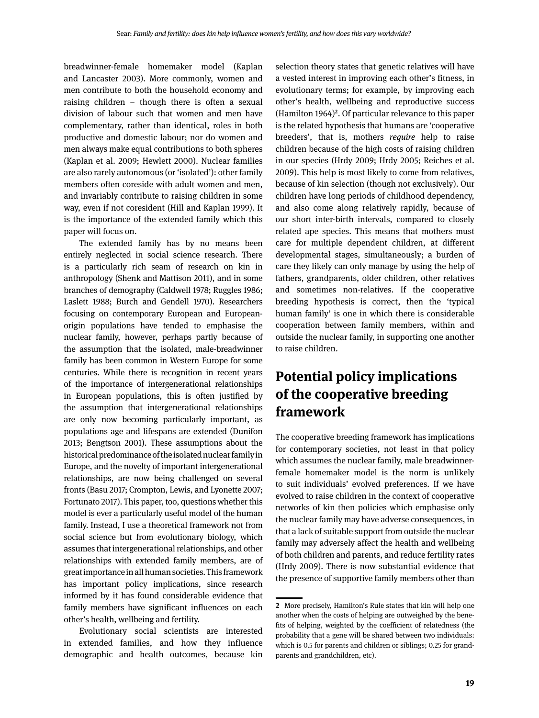breadwinner-female homemaker model (Kaplan and Lancaster 2003). More commonly, women and men contribute to both the household economy and raising children – though there is often a sexual division of labour such that women and men have complementary, rather than identical, roles in both productive and domestic labour; nor do women and men always make equal contributions to both spheres (Kaplan et al. 2009; Hewlett 2000). Nuclear families are also rarely autonomous (or 'isolated'): other family members often coreside with adult women and men, and invariably contribute to raising children in some way, even if not coresident (Hill and Kaplan 1999). It is the importance of the extended family which this paper will focus on.

The extended family has by no means been entirely neglected in social science research. There is a particularly rich seam of research on kin in anthropology (Shenk and Mattison 2011), and in some branches of demography (Caldwell 1978; Ruggles 1986; Laslett 1988; Burch and Gendell 1970). Researchers focusing on contemporary European and Europeanorigin populations have tended to emphasise the nuclear family, however, perhaps partly because of the assumption that the isolated, male-breadwinner family has been common in Western Europe for some centuries. While there is recognition in recent years of the importance of intergenerational relationships in European populations, this is often justified by the assumption that intergenerational relationships are only now becoming particularly important, as populations age and lifespans are extended (Dunifon 2013; Bengtson 2001). These assumptions about the historical predominance of the isolated nuclear family in Europe, and the novelty of important intergenerational relationships, are now being challenged on several fronts (Basu 2017; Crompton, Lewis, and Lyonette 2007; Fortunato 2017). This paper, too, questions whether this model is ever a particularly useful model of the human family. Instead, I use a theoretical framework not from social science but from evolutionary biology, which assumes that intergenerational relationships, and other relationships with extended family members, are of great importance in all human societies. This framework has important policy implications, since research informed by it has found considerable evidence that family members have significant influences on each other's health, wellbeing and fertility.

Evolutionary social scientists are interested in extended families, and how they influence demographic and health outcomes, because kin selection theory states that genetic relatives will have a vested interest in improving each other's fitness, in evolutionary terms; for example, by improving each other's health, wellbeing and reproductive success (Hamilton  $1964$ )<sup>2</sup>. Of particular relevance to this paper is the related hypothesis that humans are 'cooperative breeders', that is, mothers *require* help to raise children because of the high costs of raising children in our species (Hrdy 2009; Hrdy 2005; Reiches et al. 2009). This help is most likely to come from relatives, because of kin selection (though not exclusively). Our children have long periods of childhood dependency, and also come along relatively rapidly, because of our short inter-birth intervals, compared to closely related ape species. This means that mothers must care for multiple dependent children, at different developmental stages, simultaneously; a burden of care they likely can only manage by using the help of fathers, grandparents, older children, other relatives and sometimes non-relatives. If the cooperative breeding hypothesis is correct, then the 'typical human family' is one in which there is considerable cooperation between family members, within and outside the nuclear family, in supporting one another to raise children.

# **Potential policy implications of the cooperative breeding framework**

The cooperative breeding framework has implications for contemporary societies, not least in that policy which assumes the nuclear family, male breadwinnerfemale homemaker model is the norm is unlikely to suit individuals' evolved preferences. If we have evolved to raise children in the context of cooperative networks of kin then policies which emphasise only the nuclear family may have adverse consequences, in that a lack of suitable support from outside the nuclear family may adversely affect the health and wellbeing of both children and parents, and reduce fertility rates (Hrdy 2009). There is now substantial evidence that the presence of supportive family members other than

**<sup>2</sup>** More precisely, Hamilton's Rule states that kin will help one another when the costs of helping are outweighed by the benefits of helping, weighted by the coefficient of relatedness (the probability that a gene will be shared between two individuals: which is 0.5 for parents and children or siblings; 0.25 for grandparents and grandchildren, etc).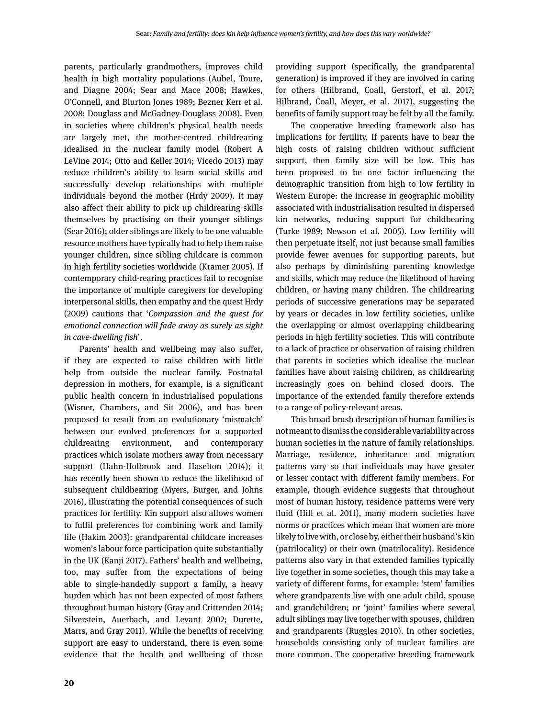parents, particularly grandmothers, improves child health in high mortality populations (Aubel, Toure, and Diagne 2004; Sear and Mace 2008; Hawkes, O'Connell, and Blurton Jones 1989; Bezner Kerr et al. 2008; Douglass and McGadney-Douglass 2008). Even in societies where children's physical health needs are largely met, the mother-centred childrearing idealised in the nuclear family model (Robert A LeVine 2014; Otto and Keller 2014; Vicedo 2013) may reduce children's ability to learn social skills and successfully develop relationships with multiple individuals beyond the mother (Hrdy 2009). It may also affect their ability to pick up childrearing skills themselves by practising on their younger siblings (Sear 2016); older siblings are likely to be one valuable resource mothers have typically had to help them raise younger children, since sibling childcare is common in high fertility societies worldwide (Kramer 2005). If contemporary child-rearing practices fail to recognise the importance of multiple caregivers for developing interpersonal skills, then empathy and the quest Hrdy (2009) cautions that '*Compassion and the quest for emotional connection will fade away as surely as sight in cave-dwelling fish*'.

Parents' health and wellbeing may also suffer, if they are expected to raise children with little help from outside the nuclear family. Postnatal depression in mothers, for example, is a significant public health concern in industrialised populations (Wisner, Chambers, and Sit 2006), and has been proposed to result from an evolutionary 'mismatch' between our evolved preferences for a supported childrearing environment, and contemporary practices which isolate mothers away from necessary support (Hahn-Holbrook and Haselton 2014); it has recently been shown to reduce the likelihood of subsequent childbearing (Myers, Burger, and Johns 2016), illustrating the potential consequences of such practices for fertility. Kin support also allows women to fulfil preferences for combining work and family life (Hakim 2003): grandparental childcare increases women's labour force participation quite substantially in the UK (Kanji 2017). Fathers' health and wellbeing, too, may suffer from the expectations of being able to single-handedly support a family, a heavy burden which has not been expected of most fathers throughout human history (Gray and Crittenden 2014; Silverstein, Auerbach, and Levant 2002; Durette, Marrs, and Gray 2011). While the benefits of receiving support are easy to understand, there is even some evidence that the health and wellbeing of those

providing support (specifically, the grandparental generation) is improved if they are involved in caring for others (Hilbrand, Coall, Gerstorf, et al. 2017; Hilbrand, Coall, Meyer, et al. 2017), suggesting the benefits of family support may be felt by all the family.

The cooperative breeding framework also has implications for fertility. If parents have to bear the high costs of raising children without sufficient support, then family size will be low. This has been proposed to be one factor influencing the demographic transition from high to low fertility in Western Europe: the increase in geographic mobility associated with industrialisation resulted in dispersed kin networks, reducing support for childbearing (Turke 1989; Newson et al. 2005). Low fertility will then perpetuate itself, not just because small families provide fewer avenues for supporting parents, but also perhaps by diminishing parenting knowledge and skills, which may reduce the likelihood of having children, or having many children. The childrearing periods of successive generations may be separated by years or decades in low fertility societies, unlike the overlapping or almost overlapping childbearing periods in high fertility societies. This will contribute to a lack of practice or observation of raising children that parents in societies which idealise the nuclear families have about raising children, as childrearing increasingly goes on behind closed doors. The importance of the extended family therefore extends to a range of policy-relevant areas.

This broad brush description of human families is not meant to dismiss the considerable variability across human societies in the nature of family relationships. Marriage, residence, inheritance and migration patterns vary so that individuals may have greater or lesser contact with different family members. For example, though evidence suggests that throughout most of human history, residence patterns were very fluid (Hill et al. 2011), many modern societies have norms or practices which mean that women are more likely to live with, or close by, either their husband's kin (patrilocality) or their own (matrilocality). Residence patterns also vary in that extended families typically live together in some societies, though this may take a variety of different forms, for example: 'stem' families where grandparents live with one adult child, spouse and grandchildren; or 'joint' families where several adult siblings may live together with spouses, children and grandparents (Ruggles 2010). In other societies, households consisting only of nuclear families are more common. The cooperative breeding framework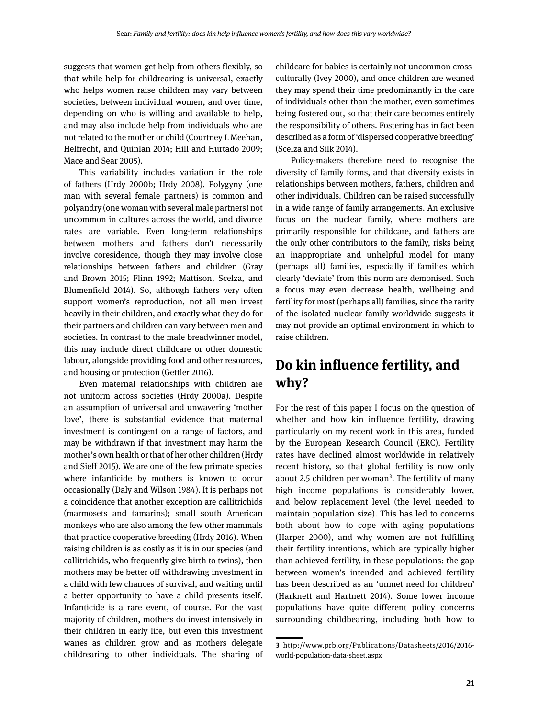suggests that women get help from others flexibly, so that while help for childrearing is universal, exactly who helps women raise children may vary between societies, between individual women, and over time, depending on who is willing and available to help, and may also include help from individuals who are not related to the mother or child (Courtney L Meehan, Helfrecht, and Quinlan 2014; Hill and Hurtado 2009; Mace and Sear 2005).

This variability includes variation in the role of fathers (Hrdy 2000b; Hrdy 2008). Polygyny (one man with several female partners) is common and polyandry (one woman with several male partners) not uncommon in cultures across the world, and divorce rates are variable. Even long-term relationships between mothers and fathers don't necessarily involve coresidence, though they may involve close relationships between fathers and children (Gray and Brown 2015; Flinn 1992; Mattison, Scelza, and Blumenfield 2014). So, although fathers very often support women's reproduction, not all men invest heavily in their children, and exactly what they do for their partners and children can vary between men and societies. In contrast to the male breadwinner model, this may include direct childcare or other domestic labour, alongside providing food and other resources, and housing or protection (Gettler 2016).

Even maternal relationships with children are not uniform across societies (Hrdy 2000a). Despite an assumption of universal and unwavering 'mother love', there is substantial evidence that maternal investment is contingent on a range of factors, and may be withdrawn if that investment may harm the mother's own health or that of her other children (Hrdy and Sieff 2015). We are one of the few primate species where infanticide by mothers is known to occur occasionally (Daly and Wilson 1984). It is perhaps not a coincidence that another exception are callitrichids (marmosets and tamarins); small south American monkeys who are also among the few other mammals that practice cooperative breeding (Hrdy 2016). When raising children is as costly as it is in our species (and callitrichids, who frequently give birth to twins), then mothers may be better off withdrawing investment in a child with few chances of survival, and waiting until a better opportunity to have a child presents itself. Infanticide is a rare event, of course. For the vast majority of children, mothers do invest intensively in their children in early life, but even this investment wanes as children grow and as mothers delegate childrearing to other individuals. The sharing of childcare for babies is certainly not uncommon crossculturally (Ivey 2000), and once children are weaned they may spend their time predominantly in the care of individuals other than the mother, even sometimes being fostered out, so that their care becomes entirely the responsibility of others. Fostering has in fact been described as a form of 'dispersed cooperative breeding' (Scelza and Silk 2014).

Policy-makers therefore need to recognise the diversity of family forms, and that diversity exists in relationships between mothers, fathers, children and other individuals. Children can be raised successfully in a wide range of family arrangements. An exclusive focus on the nuclear family, where mothers are primarily responsible for childcare, and fathers are the only other contributors to the family, risks being an inappropriate and unhelpful model for many (perhaps all) families, especially if families which clearly 'deviate' from this norm are demonised. Such a focus may even decrease health, wellbeing and fertility for most (perhaps all) families, since the rarity of the isolated nuclear family worldwide suggests it may not provide an optimal environment in which to raise children.

# **Do kin influence fertility, and why?**

For the rest of this paper I focus on the question of whether and how kin influence fertility, drawing particularly on my recent work in this area, funded by the European Research Council (ERC). Fertility rates have declined almost worldwide in relatively recent history, so that global fertility is now only about 2.5 children per woman<sup>3</sup>. The fertility of many high income populations is considerably lower, and below replacement level (the level needed to maintain population size). This has led to concerns both about how to cope with aging populations (Harper 2000), and why women are not fulfilling their fertility intentions, which are typically higher than achieved fertility, in these populations: the gap between women's intended and achieved fertility has been described as an 'unmet need for children' (Harknett and Hartnett 2014). Some lower income populations have quite different policy concerns surrounding childbearing, including both how to

**<sup>3</sup>** http://www.prb.org/Publications/Datasheets/2016/2016 world-population-data-sheet.aspx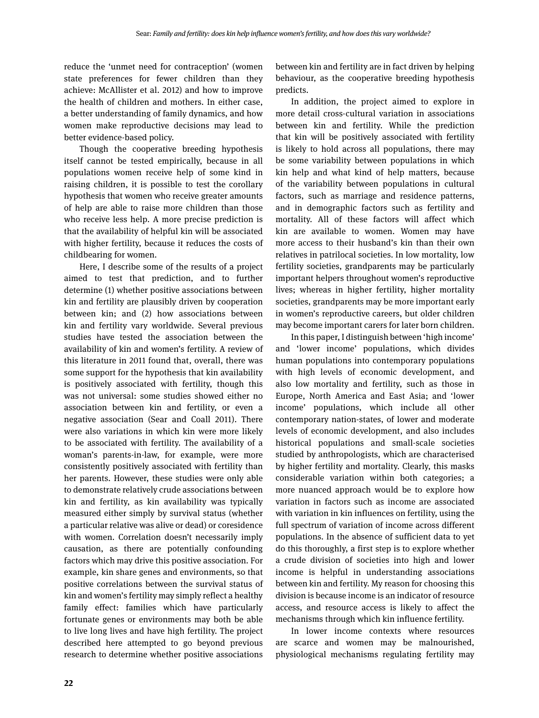reduce the 'unmet need for contraception' (women state preferences for fewer children than they achieve: McAllister et al. 2012) and how to improve the health of children and mothers. In either case, a better understanding of family dynamics, and how women make reproductive decisions may lead to better evidence-based policy.

Though the cooperative breeding hypothesis itself cannot be tested empirically, because in all populations women receive help of some kind in raising children, it is possible to test the corollary hypothesis that women who receive greater amounts of help are able to raise more children than those who receive less help. A more precise prediction is that the availability of helpful kin will be associated with higher fertility, because it reduces the costs of childbearing for women.

Here, I describe some of the results of a project aimed to test that prediction, and to further determine (1) whether positive associations between kin and fertility are plausibly driven by cooperation between kin; and (2) how associations between kin and fertility vary worldwide. Several previous studies have tested the association between the availability of kin and women's fertility. A review of this literature in 2011 found that, overall, there was some support for the hypothesis that kin availability is positively associated with fertility, though this was not universal: some studies showed either no association between kin and fertility, or even a negative association (Sear and Coall 2011). There were also variations in which kin were more likely to be associated with fertility. The availability of a woman's parents-in-law, for example, were more consistently positively associated with fertility than her parents. However, these studies were only able to demonstrate relatively crude associations between kin and fertility, as kin availability was typically measured either simply by survival status (whether a particular relative was alive or dead) or coresidence with women. Correlation doesn't necessarily imply causation, as there are potentially confounding factors which may drive this positive association. For example, kin share genes and environments, so that positive correlations between the survival status of kin and women's fertility may simply reflect a healthy family effect: families which have particularly fortunate genes or environments may both be able to live long lives and have high fertility. The project described here attempted to go beyond previous research to determine whether positive associations between kin and fertility are in fact driven by helping behaviour, as the cooperative breeding hypothesis predicts.

In addition, the project aimed to explore in more detail cross-cultural variation in associations between kin and fertility. While the prediction that kin will be positively associated with fertility is likely to hold across all populations, there may be some variability between populations in which kin help and what kind of help matters, because of the variability between populations in cultural factors, such as marriage and residence patterns, and in demographic factors such as fertility and mortality. All of these factors will affect which kin are available to women. Women may have more access to their husband's kin than their own relatives in patrilocal societies. In low mortality, low fertility societies, grandparents may be particularly important helpers throughout women's reproductive lives; whereas in higher fertility, higher mortality societies, grandparents may be more important early in women's reproductive careers, but older children may become important carers for later born children.

In this paper, I distinguish between 'high income' and 'lower income' populations, which divides human populations into contemporary populations with high levels of economic development, and also low mortality and fertility, such as those in Europe, North America and East Asia; and 'lower income' populations, which include all other contemporary nation-states, of lower and moderate levels of economic development, and also includes historical populations and small-scale societies studied by anthropologists, which are characterised by higher fertility and mortality. Clearly, this masks considerable variation within both categories; a more nuanced approach would be to explore how variation in factors such as income are associated with variation in kin influences on fertility, using the full spectrum of variation of income across different populations. In the absence of sufficient data to yet do this thoroughly, a first step is to explore whether a crude division of societies into high and lower income is helpful in understanding associations between kin and fertility. My reason for choosing this division is because income is an indicator of resource access, and resource access is likely to affect the mechanisms through which kin influence fertility.

In lower income contexts where resources are scarce and women may be malnourished, physiological mechanisms regulating fertility may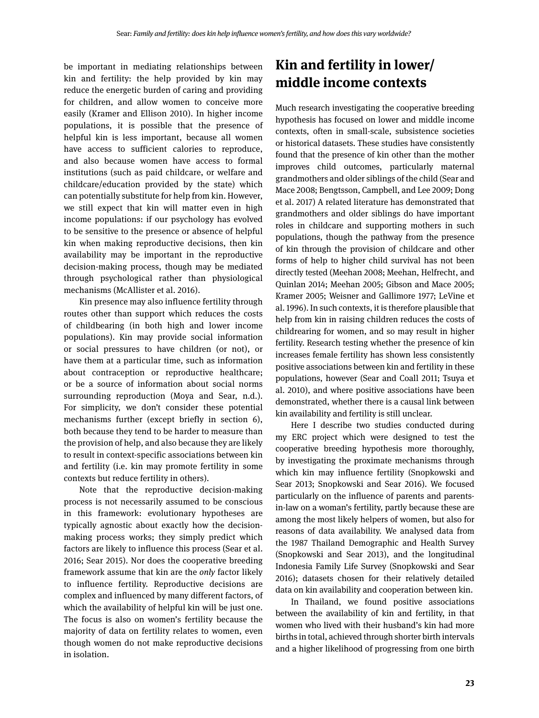be important in mediating relationships between kin and fertility: the help provided by kin may reduce the energetic burden of caring and providing for children, and allow women to conceive more easily (Kramer and Ellison 2010). In higher income populations, it is possible that the presence of helpful kin is less important, because all women have access to sufficient calories to reproduce, and also because women have access to formal institutions (such as paid childcare, or welfare and childcare/education provided by the state) which can potentially substitute for help from kin. However, we still expect that kin will matter even in high income populations: if our psychology has evolved to be sensitive to the presence or absence of helpful kin when making reproductive decisions, then kin availability may be important in the reproductive decision-making process, though may be mediated through psychological rather than physiological mechanisms (McAllister et al. 2016).

Kin presence may also influence fertility through routes other than support which reduces the costs of childbearing (in both high and lower income populations). Kin may provide social information or social pressures to have children (or not), or have them at a particular time, such as information about contraception or reproductive healthcare; or be a source of information about social norms surrounding reproduction (Moya and Sear, n.d.). For simplicity, we don't consider these potential mechanisms further (except briefly in section 6), both because they tend to be harder to measure than the provision of help, and also because they are likely to result in context-specific associations between kin and fertility (i.e. kin may promote fertility in some contexts but reduce fertility in others).

Note that the reproductive decision-making process is not necessarily assumed to be conscious in this framework: evolutionary hypotheses are typically agnostic about exactly how the decisionmaking process works; they simply predict which factors are likely to influence this process (Sear et al. 2016; Sear 2015). Nor does the cooperative breeding framework assume that kin are the *only* factor likely to influence fertility. Reproductive decisions are complex and influenced by many different factors, of which the availability of helpful kin will be just one. The focus is also on women's fertility because the majority of data on fertility relates to women, even though women do not make reproductive decisions in isolation.

# **Kin and fertility in lower/ middle income contexts**

Much research investigating the cooperative breeding hypothesis has focused on lower and middle income contexts, often in small-scale, subsistence societies or historical datasets. These studies have consistently found that the presence of kin other than the mother improves child outcomes, particularly maternal grandmothers and older siblings of the child (Sear and Mace 2008; Bengtsson, Campbell, and Lee 2009; Dong et al. 2017) A related literature has demonstrated that grandmothers and older siblings do have important roles in childcare and supporting mothers in such populations, though the pathway from the presence of kin through the provision of childcare and other forms of help to higher child survival has not been directly tested (Meehan 2008; Meehan, Helfrecht, and Quinlan 2014; Meehan 2005; Gibson and Mace 2005; Kramer 2005; Weisner and Gallimore 1977; LeVine et al. 1996). In such contexts, it is therefore plausible that help from kin in raising children reduces the costs of childrearing for women, and so may result in higher fertility. Research testing whether the presence of kin increases female fertility has shown less consistently positive associations between kin and fertility in these populations, however (Sear and Coall 2011; Tsuya et al. 2010), and where positive associations have been demonstrated, whether there is a causal link between kin availability and fertility is still unclear.

Here I describe two studies conducted during my ERC project which were designed to test the cooperative breeding hypothesis more thoroughly, by investigating the proximate mechanisms through which kin may influence fertility (Snopkowski and Sear 2013; Snopkowski and Sear 2016). We focused particularly on the influence of parents and parentsin-law on a woman's fertility, partly because these are among the most likely helpers of women, but also for reasons of data availability. We analysed data from the 1987 Thailand Demographic and Health Survey (Snopkowski and Sear 2013), and the longitudinal Indonesia Family Life Survey (Snopkowski and Sear 2016); datasets chosen for their relatively detailed data on kin availability and cooperation between kin.

In Thailand, we found positive associations between the availability of kin and fertility, in that women who lived with their husband's kin had more births in total, achieved through shorter birth intervals and a higher likelihood of progressing from one birth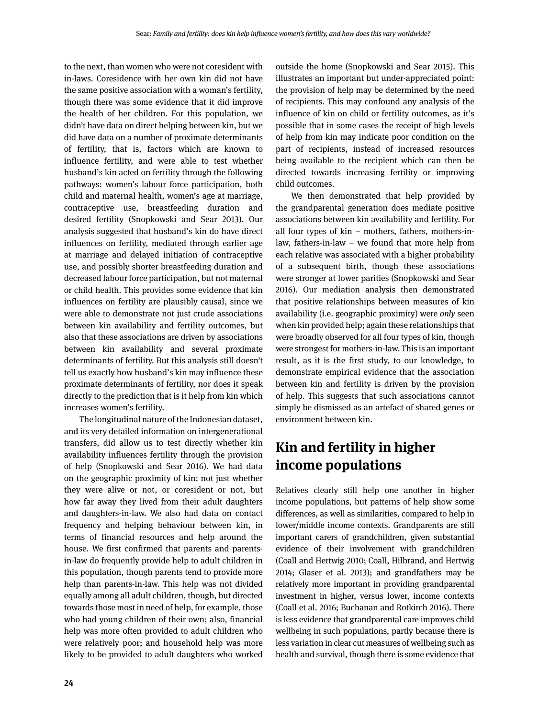to the next, than women who were not coresident with in-laws. Coresidence with her own kin did not have the same positive association with a woman's fertility, though there was some evidence that it did improve the health of her children. For this population, we didn't have data on direct helping between kin, but we did have data on a number of proximate determinants of fertility, that is, factors which are known to influence fertility, and were able to test whether husband's kin acted on fertility through the following pathways: women's labour force participation, both child and maternal health, women's age at marriage, contraceptive use, breastfeeding duration and desired fertility (Snopkowski and Sear 2013). Our analysis suggested that husband's kin do have direct influences on fertility, mediated through earlier age at marriage and delayed initiation of contraceptive use, and possibly shorter breastfeeding duration and decreased labour force participation, but not maternal or child health. This provides some evidence that kin influences on fertility are plausibly causal, since we were able to demonstrate not just crude associations between kin availability and fertility outcomes, but also that these associations are driven by associations between kin availability and several proximate determinants of fertility. But this analysis still doesn't tell us exactly how husband's kin may influence these proximate determinants of fertility, nor does it speak directly to the prediction that is it help from kin which increases women's fertility.

The longitudinal nature of the Indonesian dataset, and its very detailed information on intergenerational transfers, did allow us to test directly whether kin availability influences fertility through the provision of help (Snopkowski and Sear 2016). We had data on the geographic proximity of kin: not just whether they were alive or not, or coresident or not, but how far away they lived from their adult daughters and daughters-in-law. We also had data on contact frequency and helping behaviour between kin, in terms of financial resources and help around the house. We first confirmed that parents and parentsin-law do frequently provide help to adult children in this population, though parents tend to provide more help than parents-in-law. This help was not divided equally among all adult children, though, but directed towards those most in need of help, for example, those who had young children of their own; also, financial help was more often provided to adult children who were relatively poor; and household help was more likely to be provided to adult daughters who worked

outside the home (Snopkowski and Sear 2015). This illustrates an important but under-appreciated point: the provision of help may be determined by the need of recipients. This may confound any analysis of the influence of kin on child or fertility outcomes, as it's possible that in some cases the receipt of high levels of help from kin may indicate poor condition on the part of recipients, instead of increased resources being available to the recipient which can then be directed towards increasing fertility or improving child outcomes.

We then demonstrated that help provided by the grandparental generation does mediate positive associations between kin availability and fertility. For all four types of kin – mothers, fathers, mothers-inlaw, fathers-in-law – we found that more help from each relative was associated with a higher probability of a subsequent birth, though these associations were stronger at lower parities (Snopkowski and Sear 2016). Our mediation analysis then demonstrated that positive relationships between measures of kin availability (i.e. geographic proximity) were *only* seen when kin provided help; again these relationships that were broadly observed for all four types of kin, though were strongest for mothers-in-law. This is an important result, as it is the first study, to our knowledge, to demonstrate empirical evidence that the association between kin and fertility is driven by the provision of help. This suggests that such associations cannot simply be dismissed as an artefact of shared genes or environment between kin.

# **Kin and fertility in higher income populations**

Relatives clearly still help one another in higher income populations, but patterns of help show some differences, as well as similarities, compared to help in lower/middle income contexts. Grandparents are still important carers of grandchildren, given substantial evidence of their involvement with grandchildren (Coall and Hertwig 2010; Coall, Hilbrand, and Hertwig 2014; Glaser et al. 2013); and grandfathers may be relatively more important in providing grandparental investment in higher, versus lower, income contexts (Coall et al. 2016; Buchanan and Rotkirch 2016). There is less evidence that grandparental care improves child wellbeing in such populations, partly because there is less variation in clear cut measures of wellbeing such as health and survival, though there is some evidence that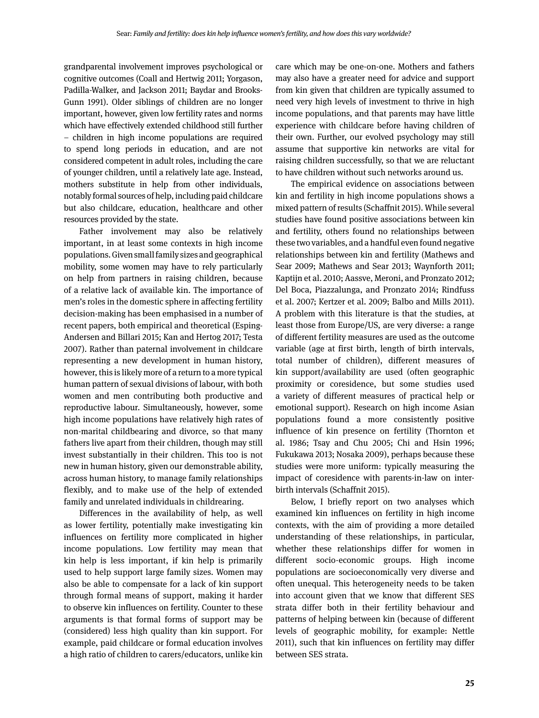grandparental involvement improves psychological or cognitive outcomes (Coall and Hertwig 2011; Yorgason, Padilla-Walker, and Jackson 2011; Baydar and Brooks-Gunn 1991). Older siblings of children are no longer important, however, given low fertility rates and norms which have effectively extended childhood still further – children in high income populations are required to spend long periods in education, and are not considered competent in adult roles, including the care of younger children, until a relatively late age. Instead, mothers substitute in help from other individuals, notably formal sources of help, including paid childcare but also childcare, education, healthcare and other resources provided by the state.

Father involvement may also be relatively important, in at least some contexts in high income populations. Given small family sizes and geographical mobility, some women may have to rely particularly on help from partners in raising children, because of a relative lack of available kin. The importance of men's roles in the domestic sphere in affecting fertility decision-making has been emphasised in a number of recent papers, both empirical and theoretical (Esping-Andersen and Billari 2015; Kan and Hertog 2017; Testa 2007). Rather than paternal involvement in childcare representing a new development in human history, however, this is likely more of a return to a more typical human pattern of sexual divisions of labour, with both women and men contributing both productive and reproductive labour. Simultaneously, however, some high income populations have relatively high rates of non-marital childbearing and divorce, so that many fathers live apart from their children, though may still invest substantially in their children. This too is not new in human history, given our demonstrable ability, across human history, to manage family relationships flexibly, and to make use of the help of extended family and unrelated individuals in childrearing.

Differences in the availability of help, as well as lower fertility, potentially make investigating kin influences on fertility more complicated in higher income populations. Low fertility may mean that kin help is less important, if kin help is primarily used to help support large family sizes. Women may also be able to compensate for a lack of kin support through formal means of support, making it harder to observe kin influences on fertility. Counter to these arguments is that formal forms of support may be (considered) less high quality than kin support. For example, paid childcare or formal education involves a high ratio of children to carers/educators, unlike kin care which may be one-on-one. Mothers and fathers may also have a greater need for advice and support from kin given that children are typically assumed to need very high levels of investment to thrive in high income populations, and that parents may have little experience with childcare before having children of their own. Further, our evolved psychology may still assume that supportive kin networks are vital for raising children successfully, so that we are reluctant to have children without such networks around us.

The empirical evidence on associations between kin and fertility in high income populations shows a mixed pattern of results (Schaffnit 2015). While several studies have found positive associations between kin and fertility, others found no relationships between these two variables, and a handful even found negative relationships between kin and fertility (Mathews and Sear 2009; Mathews and Sear 2013; Waynforth 2011; Kaptijn et al. 2010; Aassve, Meroni, and Pronzato 2012; Del Boca, Piazzalunga, and Pronzato 2014; Rindfuss et al. 2007; Kertzer et al. 2009; Balbo and Mills 2011). A problem with this literature is that the studies, at least those from Europe/US, are very diverse: a range of different fertility measures are used as the outcome variable (age at first birth, length of birth intervals, total number of children), different measures of kin support/availability are used (often geographic proximity or coresidence, but some studies used a variety of different measures of practical help or emotional support). Research on high income Asian populations found a more consistently positive influence of kin presence on fertility (Thornton et al. 1986; Tsay and Chu 2005; Chi and Hsin 1996; Fukukawa 2013; Nosaka 2009), perhaps because these studies were more uniform: typically measuring the impact of coresidence with parents-in-law on interbirth intervals (Schaffnit 2015).

Below, I briefly report on two analyses which examined kin influences on fertility in high income contexts, with the aim of providing a more detailed understanding of these relationships, in particular, whether these relationships differ for women in different socio-economic groups. High income populations are socioeconomically very diverse and often unequal. This heterogeneity needs to be taken into account given that we know that different SES strata differ both in their fertility behaviour and patterns of helping between kin (because of different levels of geographic mobility, for example: Nettle 2011), such that kin influences on fertility may differ between SES strata.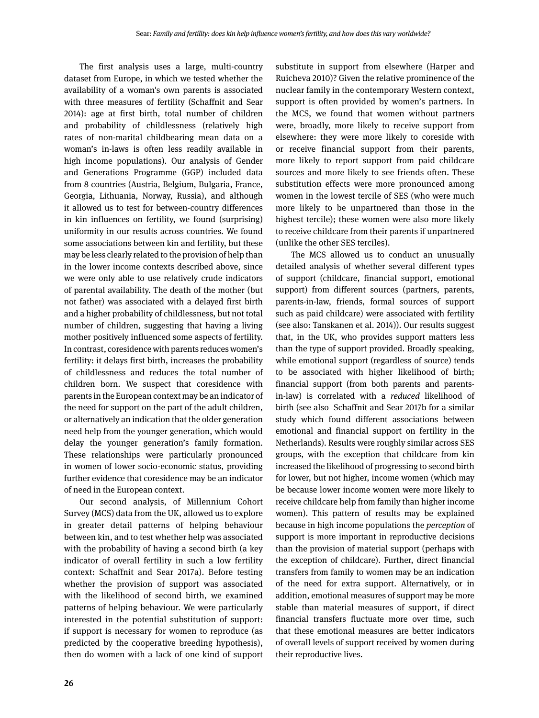The first analysis uses a large, multi-country dataset from Europe, in which we tested whether the availability of a woman's own parents is associated with three measures of fertility (Schaffnit and Sear 2014): age at first birth, total number of children and probability of childlessness (relatively high rates of non-marital childbearing mean data on a woman's in-laws is often less readily available in high income populations). Our analysis of Gender and Generations Programme (GGP) included data from 8 countries (Austria, Belgium, Bulgaria, France, Georgia, Lithuania, Norway, Russia), and although it allowed us to test for between-country differences in kin influences on fertility, we found (surprising) uniformity in our results across countries. We found some associations between kin and fertility, but these may be less clearly related to the provision of help than in the lower income contexts described above, since we were only able to use relatively crude indicators of parental availability. The death of the mother (but not father) was associated with a delayed first birth and a higher probability of childlessness, but not total number of children, suggesting that having a living mother positively influenced some aspects of fertility. In contrast, coresidence with parents reduces women's fertility: it delays first birth, increases the probability of childlessness and reduces the total number of children born. We suspect that coresidence with parents in the European context may be an indicator of the need for support on the part of the adult children, or alternatively an indication that the older generation need help from the younger generation, which would delay the younger generation's family formation. These relationships were particularly pronounced in women of lower socio-economic status, providing further evidence that coresidence may be an indicator of need in the European context.

Our second analysis, of Millennium Cohort Survey (MCS) data from the UK, allowed us to explore in greater detail patterns of helping behaviour between kin, and to test whether help was associated with the probability of having a second birth (a key indicator of overall fertility in such a low fertility context: Schaffnit and Sear 2017a). Before testing whether the provision of support was associated with the likelihood of second birth, we examined patterns of helping behaviour. We were particularly interested in the potential substitution of support: if support is necessary for women to reproduce (as predicted by the cooperative breeding hypothesis), then do women with a lack of one kind of support substitute in support from elsewhere (Harper and Ruicheva 2010)? Given the relative prominence of the nuclear family in the contemporary Western context, support is often provided by women's partners. In the MCS, we found that women without partners were, broadly, more likely to receive support from elsewhere: they were more likely to coreside with or receive financial support from their parents, more likely to report support from paid childcare sources and more likely to see friends often. These substitution effects were more pronounced among women in the lowest tercile of SES (who were much more likely to be unpartnered than those in the highest tercile); these women were also more likely to receive childcare from their parents if unpartnered (unlike the other SES terciles).

The MCS allowed us to conduct an unusually detailed analysis of whether several different types of support (childcare, financial support, emotional support) from different sources (partners, parents, parents-in-law, friends, formal sources of support such as paid childcare) were associated with fertility (see also: Tanskanen et al. 2014)). Our results suggest that, in the UK, who provides support matters less than the type of support provided. Broadly speaking, while emotional support (regardless of source) tends to be associated with higher likelihood of birth; financial support (from both parents and parentsin-law) is correlated with a *reduced* likelihood of birth (see also Schaffnit and Sear 2017b for a similar study which found different associations between emotional and financial support on fertility in the Netherlands). Results were roughly similar across SES groups, with the exception that childcare from kin increased the likelihood of progressing to second birth for lower, but not higher, income women (which may be because lower income women were more likely to receive childcare help from family than higher income women). This pattern of results may be explained because in high income populations the *perception* of support is more important in reproductive decisions than the provision of material support (perhaps with the exception of childcare). Further, direct financial transfers from family to women may be an indication of the need for extra support. Alternatively, or in addition, emotional measures of support may be more stable than material measures of support, if direct financial transfers fluctuate more over time, such that these emotional measures are better indicators of overall levels of support received by women during their reproductive lives.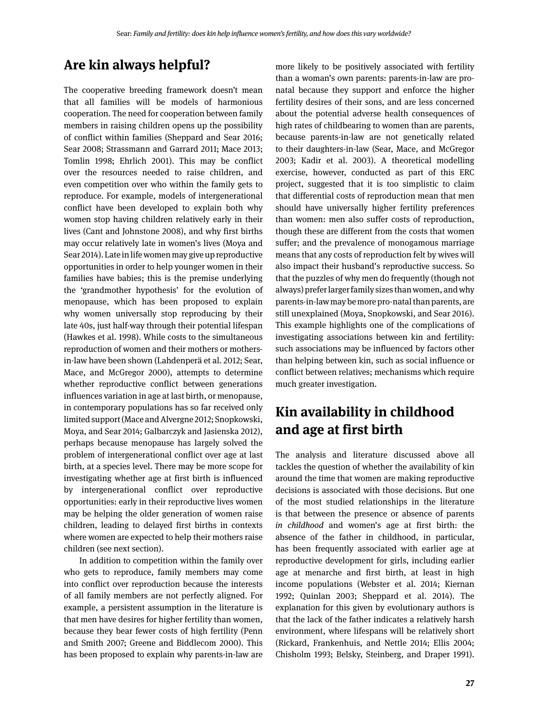### **Are kin always helpful?**

The cooperative breeding framework doesn't mean that all families will be models of harmonious cooperation. The need for cooperation between family members in raising children opens up the possibility of conflict within families (Sheppard and Sear 2016; Sear 2008; Strassmann and Garrard 2011; Mace 2013; Tomlin 1998; Ehrlich 2001). This may be conflict over the resources needed to raise children, and even competition over who within the family gets to reproduce. For example, models of intergenerational conflict have been developed to explain both why women stop having children relatively early in their lives (Cant and Johnstone 2008), and why first births may occur relatively late in women's lives (Moya and Sear 2014). Late in life women may give up reproductive opportunities in order to help younger women in their families have babies; this is the premise underlying the 'grandmother hypothesis' for the evolution of menopause, which has been proposed to explain why women universally stop reproducing by their late 40s, just half-way through their potential lifespan (Hawkes et al. 1998). While costs to the simultaneous reproduction of women and their mothers or mothersin-law have been shown (Lahdenperä et al. 2012; Sear, Mace, and McGregor 2000), attempts to determine whether reproductive conflict between generations influences variation in age at last birth, or menopause, in contemporary populations has so far received only limited support (Mace and Alvergne 2012; Snopkowski, Moya, and Sear 2014; Galbarczyk and Jasienska 2012), perhaps because menopause has largely solved the problem of intergenerational conflict over age at last birth, at a species level. There may be more scope for investigating whether age at first birth is influenced by intergenerational conflict over reproductive opportunities: early in their reproductive lives women may be helping the older generation of women raise children, leading to delayed first births in contexts where women are expected to help their mothers raise children (see next section).

In addition to competition within the family over who gets to reproduce, family members may come into conflict over reproduction because the interests of all family members are not perfectly aligned. For example, a persistent assumption in the literature is that men have desires for higher fertility than women, because they bear fewer costs of high fertility (Penn and Smith 2007; Greene and Biddlecom 2000). This has been proposed to explain why parents-in-law are more likely to be positively associated with fertility than a woman's own parents: parents-in-law are pronatal because they support and enforce the higher fertility desires of their sons, and are less concerned about the potential adverse health consequences of high rates of childbearing to women than are parents, because parents-in-law are not genetically related to their daughters-in-law (Sear, Mace, and McGregor 2003; Kadir et al. 2003). A theoretical modelling exercise, however, conducted as part of this ERC project, suggested that it is too simplistic to claim that differential costs of reproduction mean that men should have universally higher fertility preferences than women: men also suffer costs of reproduction, though these are different from the costs that women suffer; and the prevalence of monogamous marriage means that any costs of reproduction felt by wives will also impact their husband's reproductive success. So that the puzzles of why men do frequently (though not always) prefer larger family sizes than women, and why parents-in-law may be more pro-natal than parents, are still unexplained (Moya, Snopkowski, and Sear 2016). This example highlights one of the complications of investigating associations between kin and fertility: such associations may be influenced by factors other than helping between kin, such as social influence or conflict between relatives; mechanisms which require much greater investigation.

# **Kin availability in childhood and age at first birth**

The analysis and literature discussed above all tackles the question of whether the availability of kin around the time that women are making reproductive decisions is associated with those decisions. But one of the most studied relationships in the literature is that between the presence or absence of parents *in childhood* and women's age at first birth: the absence of the father in childhood, in particular, has been frequently associated with earlier age at reproductive development for girls, including earlier age at menarche and first birth, at least in high income populations (Webster et al. 2014; Kiernan 1992; Quinlan 2003; Sheppard et al. 2014). The explanation for this given by evolutionary authors is that the lack of the father indicates a relatively harsh environment, where lifespans will be relatively short (Rickard, Frankenhuis, and Nettle 2014; Ellis 2004; Chisholm 1993; Belsky, Steinberg, and Draper 1991).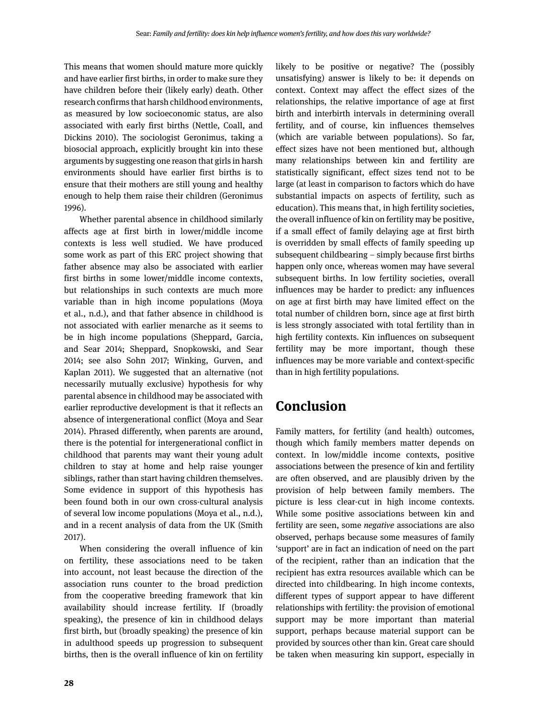This means that women should mature more quickly and have earlier first births, in order to make sure they have children before their (likely early) death. Other research confirms that harsh childhood environments, as measured by low socioeconomic status, are also associated with early first births (Nettle, Coall, and Dickins 2010). The sociologist Geronimus, taking a biosocial approach, explicitly brought kin into these arguments by suggesting one reason that girls in harsh environments should have earlier first births is to ensure that their mothers are still young and healthy enough to help them raise their children (Geronimus 1996).

Whether parental absence in childhood similarly affects age at first birth in lower/middle income contexts is less well studied. We have produced some work as part of this ERC project showing that father absence may also be associated with earlier first births in some lower/middle income contexts, but relationships in such contexts are much more variable than in high income populations (Moya et al., n.d.), and that father absence in childhood is not associated with earlier menarche as it seems to be in high income populations (Sheppard, Garcia, and Sear 2014; Sheppard, Snopkowski, and Sear 2014; see also Sohn 2017; Winking, Gurven, and Kaplan 2011). We suggested that an alternative (not necessarily mutually exclusive) hypothesis for why parental absence in childhood may be associated with earlier reproductive development is that it reflects an absence of intergenerational conflict (Moya and Sear 2014). Phrased differently, when parents are around, there is the potential for intergenerational conflict in childhood that parents may want their young adult children to stay at home and help raise younger siblings, rather than start having children themselves. Some evidence in support of this hypothesis has been found both in our own cross-cultural analysis of several low income populations (Moya et al., n.d.), and in a recent analysis of data from the UK (Smith 2017).

When considering the overall influence of kin on fertility, these associations need to be taken into account, not least because the direction of the association runs counter to the broad prediction from the cooperative breeding framework that kin availability should increase fertility. If (broadly speaking), the presence of kin in childhood delays first birth, but (broadly speaking) the presence of kin in adulthood speeds up progression to subsequent births, then is the overall influence of kin on fertility likely to be positive or negative? The (possibly unsatisfying) answer is likely to be: it depends on context. Context may affect the effect sizes of the relationships, the relative importance of age at first birth and interbirth intervals in determining overall fertility, and of course, kin influences themselves (which are variable between populations). So far, effect sizes have not been mentioned but, although many relationships between kin and fertility are statistically significant, effect sizes tend not to be large (at least in comparison to factors which do have substantial impacts on aspects of fertility, such as education). This means that, in high fertility societies, the overall influence of kin on fertility may be positive, if a small effect of family delaying age at first birth is overridden by small effects of family speeding up subsequent childbearing – simply because first births happen only once, whereas women may have several subsequent births. In low fertility societies, overall influences may be harder to predict: any influences on age at first birth may have limited effect on the total number of children born, since age at first birth is less strongly associated with total fertility than in high fertility contexts. Kin influences on subsequent fertility may be more important, though these influences may be more variable and context-specific than in high fertility populations.

#### **Conclusion**

Family matters, for fertility (and health) outcomes, though which family members matter depends on context. In low/middle income contexts, positive associations between the presence of kin and fertility are often observed, and are plausibly driven by the provision of help between family members. The picture is less clear-cut in high income contexts. While some positive associations between kin and fertility are seen, some *negative* associations are also observed, perhaps because some measures of family 'support' are in fact an indication of need on the part of the recipient, rather than an indication that the recipient has extra resources available which can be directed into childbearing. In high income contexts, different types of support appear to have different relationships with fertility: the provision of emotional support may be more important than material support, perhaps because material support can be provided by sources other than kin. Great care should be taken when measuring kin support, especially in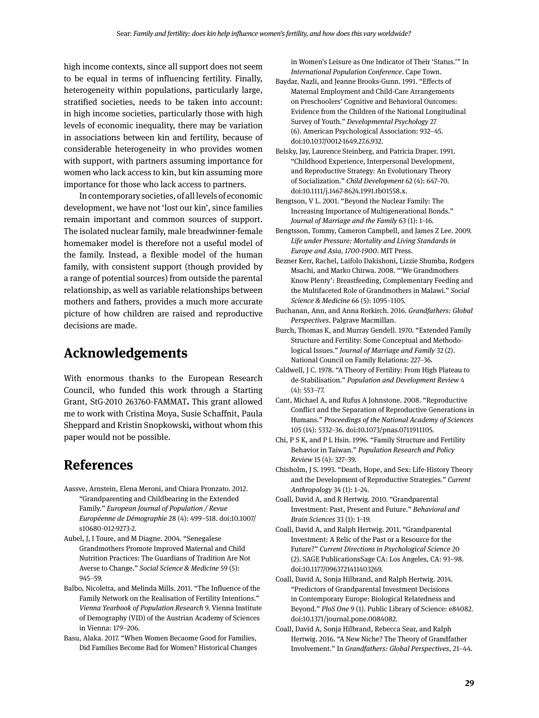high income contexts, since all support does not seem to be equal in terms of influencing fertility. Finally, heterogeneity within populations, particularly large, stratified societies, needs to be taken into account: in high income societies, particularly those with high levels of economic inequality, there may be variation in associations between kin and fertility, because of considerable heterogeneity in who provides women with support, with partners assuming importance for women who lack access to kin, but kin assuming more importance for those who lack access to partners.

In contemporary societies, of all levels of economic development, we have not 'lost our kin', since families remain important and common sources of support. The isolated nuclear family, male breadwinner-female homemaker model is therefore not a useful model of the family. Instead, a flexible model of the human family, with consistent support (though provided by a range of potential sources) from outside the parental relationship, as well as variable relationships between mothers and fathers, provides a much more accurate picture of how children are raised and reproductive decisions are made.

#### **Acknowledgements**

With enormous thanks to the European Research Council, who funded this work through a Starting Grant, StG-2010 263760-FAMMAT**.** This grant allowed me to work with Cristina Moya, Susie Schaffnit, Paula Sheppard and Kristin Snopkowski**,** without whom this paper would not be possible.

#### **References**

- Aassve, Arnstein, Elena Meroni, and Chiara Pronzato. 2012. "Grandparenting and Childbearing in the Extended Family." *European Journal of Population / Revue Européenne de Démographie* 28 (4): 499–518. doi:10.1007/ s10680-012-9273-2.
- Aubel, J, I Toure, and M Diagne. 2004. "Senegalese Grandmothers Promote Improved Maternal and Child Nutrition Practices: The Guardians of Tradition Are Not Averse to Change." *Social Science & Medicine* 59 (5): 945–59.
- Balbo, Nicoletta, and Melinda Mills. 2011. "The Influence of the Family Network on the Realisation of Fertility Intentions." *Vienna Yearbook of Population Research* 9. Vienna Institute of Demography (VID) of the Austrian Academy of Sciences in Vienna: 179–206.
- Basu, Alaka. 2017. "When Women Becaome Good for Families, Did Families Become Bad for Women? Historical Changes

in Women's Leisure as One Indicator of Their 'Status.'" In *International Population Conference*. Cape Town.

- Baydar, Nazli, and Jeanne Brooks-Gunn. 1991. "Effects of Maternal Employment and Child-Care Arrangements on Preschoolers' Cognitive and Behavioral Outcomes: Evidence from the Children of the National Longitudinal Survey of Youth." *Developmental Psychology* 27 (6). American Psychological Association: 932–45. doi:10.1037/0012-1649.27.6.932.
- Belsky, Jay, Laurence Steinberg, and Patricia Draper. 1991. "Childhood Experience, Interpersonal Development, and Reproductive Strategy: An Evolutionary Theory of Socialization." *Child Development* 62 (4): 647–70. doi:10.1111/j.1467-8624.1991.tb01558.x.
- Bengtson, V L. 2001. "Beyond the Nuclear Family: The Increasing Importance of Multigenerational Bonds." *Journal of Marriage and the Family* 63 (1): 1–16.
- Bengtsson, Tommy, Cameron Campbell, and James Z Lee. 2009. *Life under Pressure: Mortality and Living Standards in Europe and Asia, 1700-1900*. MIT Press.
- Bezner Kerr, Rachel, Laifolo Dakishoni, Lizzie Shumba, Rodgers Msachi, and Marko Chirwa. 2008. "'We Grandmothers Know Plenty': Breastfeeding, Complementary Feeding and the Multifaceted Role of Grandmothers in Malawi." *Social Science & Medicine* 66 (5): 1095–1105.
- Buchanan, Ann, and Anna Rotkirch. 2016. *Grandfathers: Global Perspectives*. Palgrave Macmillan.
- Burch, Thomas K, and Murray Gendell. 1970. "Extended Family Structure and Fertility: Some Conceptual and Methodological Issues." *Journal of Marriage and Family* 32 (2). National Council on Family Relations: 227–36.
- Caldwell, J C. 1978. "A Theory of Fertility: From High Plateau to de-Stabilisation." *Population and Development Review* 4 (4): 553–77.
- Cant, Michael A, and Rufus A Johnstone. 2008. "Reproductive Conflict and the Separation of Reproductive Generations in Humans." *Proceedings of the National Academy of Sciences* 105 (14): 5332–36. doi:10.1073/pnas.0711911105.
- Chi, P S K, and P L Hsin. 1996. "Family Structure and Fertility Behavior in Taiwan." *Population Research and Policy Review* 15 (4): 327–39.
- Chisholm, J S. 1993. "Death, Hope, and Sex: Life-History Theory and the Development of Reproductive Strategies." *Current Anthropology* 34 (1): 1–24.
- Coall, David A, and R Hertwig. 2010. "Grandparental Investment: Past, Present and Future." *Behavioral and Brain Sciences* 33 (1): 1–19.
- Coall, David A, and Ralph Hertwig. 2011. "Grandparental Investment: A Relic of the Past or a Resource for the Future?" *Current Directions in Psychological Science* 20 (2). SAGE PublicationsSage CA: Los Angeles, CA: 93–98. doi:10.1177/0963721411403269.
- Coall, David A, Sonja Hilbrand, and Ralph Hertwig. 2014. "Predictors of Grandparental Investment Decisions in Contemporary Europe: Biological Relatedness and Beyond." *PloS One* 9 (1). Public Library of Science: e84082. doi:10.1371/journal.pone.0084082.
- Coall, David A, Sonja Hilbrand, Rebecca Sear, and Ralph Hertwig. 2016. "A New Niche? The Theory of Grandfather Involvement." In *Grandfathers: Global Perspectives*, 21–44.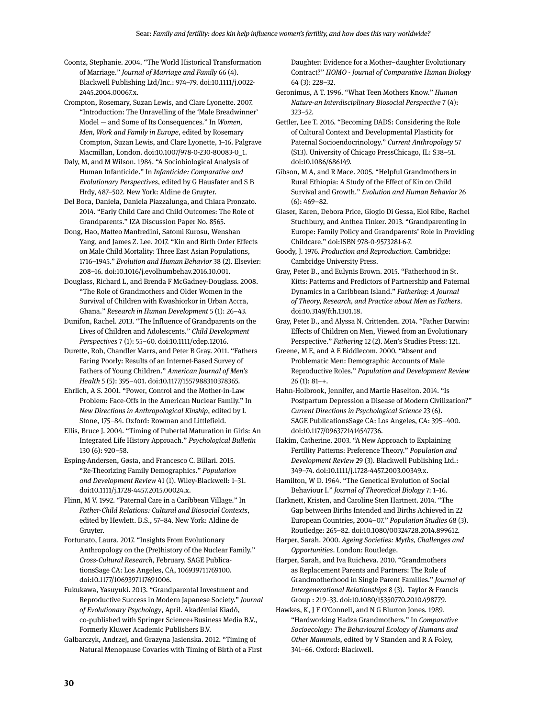Coontz, Stephanie. 2004. "The World Historical Transformation of Marriage." *Journal of Marriage and Family* 66 (4). Blackwell Publishing Ltd/Inc.: 974–79. doi:10.1111/j.0022- 2445.2004.00067.x.

Crompton, Rosemary, Suzan Lewis, and Clare Lyonette. 2007. "Introduction: The Unravelling of the 'Male Breadwinner' Model — and Some of Its Consequences." In *Women, Men, Work and Family in Europe*, edited by Rosemary Crompton, Suzan Lewis, and Clare Lyonette, 1–16. Palgrave Macmillan, London. doi:10.1007/978-0-230-80083-0\_1.

Daly, M, and M Wilson. 1984. "A Sociobiological Analysis of Human Infanticide." In *Infanticide: Comparative and Evolutionary Perspectives*, edited by G Hausfater and S B Hrdy, 487–502. New York: Aldine de Gruyter.

Del Boca, Daniela, Daniela Piazzalunga, and Chiara Pronzato. 2014. "Early Child Care and Child Outcomes: The Role of Grandparents." IZA Discussion Paper No. 8565.

Dong, Hao, Matteo Manfredini, Satomi Kurosu, Wenshan Yang, and James Z. Lee. 2017. "Kin and Birth Order Effects on Male Child Mortality: Three East Asian Populations, 1716–1945." *Evolution and Human Behavior* 38 (2). Elsevier: 208–16. doi:10.1016/j.evolhumbehav.2016.10.001.

Douglass, Richard L, and Brenda F McGadney-Douglass. 2008. "The Role of Grandmothers and Older Women in the Survival of Children with Kwashiorkor in Urban Accra, Ghana." *Research in Human Development* 5 (1): 26–43.

Dunifon, Rachel. 2013. "The Influence of Grandparents on the Lives of Children and Adolescents." *Child Development Perspectives* 7 (1): 55–60. doi:10.1111/cdep.12016.

Durette, Rob, Chandler Marrs, and Peter B Gray. 2011. "Fathers Faring Poorly: Results of an Internet-Based Survey of Fathers of Young Children." *American Journal of Men's Health* 5 (5): 395–401. doi:10.1177/1557988310378365.

Ehrlich, A S. 2001. "Power, Control and the Mother-in-Law Problem: Face-Offs in the American Nuclear Family." In *New Directions in Anthropological Kinship*, edited by L Stone, 175–84. Oxford: Rowman and Littlefield.

Ellis, Bruce J. 2004. "Timing of Pubertal Maturation in Girls: An Integrated Life History Approach." *Psychological Bulletin* 130 (6): 920–58.

Esping-Andersen, Gøsta, and Francesco C. Billari. 2015. "Re-Theorizing Family Demographics." *Population and Development Review* 41 (1). Wiley-Blackwell: 1–31. doi:10.1111/j.1728-4457.2015.00024.x.

Flinn, M V. 1992. "Paternal Care in a Caribbean Village." In *Father-Child Relations: Cultural and Biosocial Contexts*, edited by Hewlett. B.S., 57–84. New York: Aldine de Gruyter.

Fortunato, Laura. 2017. "Insights From Evolutionary Anthropology on the (Pre)history of the Nuclear Family." *Cross-Cultural Research*, February. SAGE PublicationsSage CA: Los Angeles, CA, 106939711769100. doi:10.1177/1069397117691006.

Fukukawa, Yasuyuki. 2013. "Grandparental Investment and Reproductive Success in Modern Japanese Society." *Journal of Evolutionary Psychology*, April. Akadémiai Kiadó, co-published with Springer Science+Business Media B.V., Formerly Kluwer Academic Publishers B.V.

Galbarczyk, Andrzej, and Grazyna Jasienska. 2012. "Timing of Natural Menopause Covaries with Timing of Birth of a First Daughter: Evidence for a Mother–daughter Evolutionary Contract?" *HOMO - Journal of Comparative Human Biology* 64 (3): 228–32.

Geronimus, A T. 1996. "What Teen Mothers Know." *Human Nature-an Interdisciplinary Biosocial Perspective* 7 (4): 323–52.

Gettler, Lee T. 2016. "Becoming DADS: Considering the Role of Cultural Context and Developmental Plasticity for Paternal Socioendocrinology." *Current Anthropology* 57 (S13). University of Chicago PressChicago, IL: S38–51. doi:10.1086/686149.

Gibson, M A, and R Mace. 2005. "Helpful Grandmothers in Rural Ethiopia: A Study of the Effect of Kin on Child Survival and Growth." *Evolution and Human Behavior* 26 (6): 469–82.

Glaser, Karen, Debora Price, Giogio Di Gessa, Eloi Ribe, Rachel Stuchbury, and Anthea Tinker. 2013. "Grandparenting in Europe: Family Policy and Grandparents' Role in Providing Childcare." doi:ISBN 978-0-9573281-6-7.

Goody, J. 1976. *Production and Reproduction*. Cambridge: Cambridge University Press.

Gray, Peter B., and Eulynis Brown. 2015. "Fatherhood in St. Kitts: Patterns and Predictors of Partnership and Paternal Dynamics in a Caribbean Island." *Fathering: A Journal of Theory, Research, and Practice about Men as Fathers*. doi:10.3149/fth.1301.18.

Gray, Peter B., and Alyssa N. Crittenden. 2014. "Father Darwin: Effects of Children on Men, Viewed from an Evolutionary Perspective." *Fathering* 12 (2). Men's Studies Press: 121.

Greene, M E, and A E Biddlecom. 2000. "Absent and Problematic Men: Demographic Accounts of Male Reproductive Roles." *Population and Development Review*  $26 (1): 81 - +$ .

Hahn-Holbrook, Jennifer, and Martie Haselton. 2014. "Is Postpartum Depression a Disease of Modern Civilization?" *Current Directions in Psychological Science* 23 (6). SAGE PublicationsSage CA: Los Angeles, CA: 395–400. doi:10.1177/0963721414547736.

Hakim, Catherine. 2003. "A New Approach to Explaining Fertility Patterns: Preference Theory." *Population and Development Review* 29 (3). Blackwell Publishing Ltd.: 349–74. doi:10.1111/j.1728-4457.2003.00349.x.

Hamilton, W D. 1964. "The Genetical Evolution of Social Behaviour I." *Journal of Theoretical Biology* 7: 1–16.

Harknett, Kristen, and Caroline Sten Hartnett. 2014. "The Gap between Births Intended and Births Achieved in 22 European Countries, 2004–07." *Population Studies* 68 (3). Routledge: 265–82. doi:10.1080/00324728.2014.899612.

Harper, Sarah. 2000. *Ageing Societies: Myths, Challenges and Opportunities*. London: Routledge.

Harper, Sarah, and Iva Ruicheva. 2010. "Grandmothers as Replacement Parents and Partners: The Role of Grandmotherhood in Single Parent Families." *Journal of Intergenerational Relationships* 8 (3). Taylor & Francis Group : 219–33. doi:10.1080/15350770.2010.498779.

Hawkes, K, J F O'Connell, and N G Blurton Jones. 1989. "Hardworking Hadza Grandmothers." In *Comparative Socioecology: The Behavioural Ecology of Humans and Other Mammals*, edited by V Standen and R A Foley, 341–66. Oxford: Blackwell.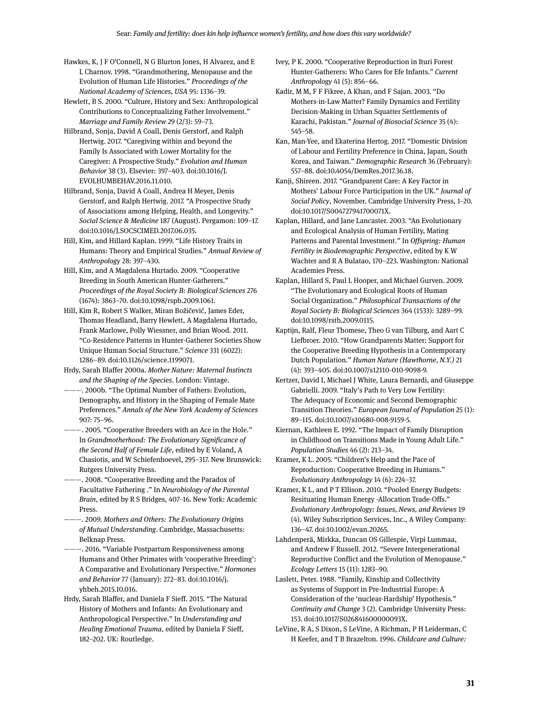- Hawkes, K, J F O'Connell, N G Blurton Jones, H Alvarez, and E L Charnov. 1998. "Grandmothering, Menopause and the Evolution of Human Life Histories." *Proceedings of the National Academy of Sciences, USA* 95: 1336–39.
- Hewlett, B S. 2000. "Culture, History and Sex: Anthropological Contributions to Conceptualizing Father Involvement." *Marriage and Family Review* 29 (2/3): 59–73.
- Hilbrand, Sonja, David A Coall, Denis Gerstorf, and Ralph Hertwig. 2017. "Caregiving within and beyond the Family Is Associated with Lower Mortality for the Caregiver: A Prospective Study." *Evolution and Human Behavior* 38 (3). Elsevier: 397–403. doi:10.1016/J. EVOLHUMBEHAV.2016.11.010.
- Hilbrand, Sonja, David A Coall, Andrea H Meyer, Denis Gerstorf, and Ralph Hertwig. 2017. "A Prospective Study of Associations among Helping, Health, and Longevity." *Social Science & Medicine* 187 (August). Pergamon: 109–17. doi:10.1016/J.SOCSCIMED.2017.06.035.
- Hill, Kim, and Hillard Kaplan. 1999. "Life History Traits in Humans: Theory and Empirical Studies." *Annual Review of Anthropology* 28: 397–430.
- Hill, Kim, and A Magdalena Hurtado. 2009. "Cooperative Breeding in South American Hunter-Gatherers." *Proceedings of the Royal Society B: Biological Sciences* 276 (1674): 3863–70. doi:10.1098/rspb.2009.1061.
- Hill, Kim R, Robert S Walker, Miran Božičević, James Eder, Thomas Headland, Barry Hewlett, A Magdalena Hurtado, Frank Marlowe, Polly Wiessner, and Brian Wood. 2011. "Co-Residence Patterns in Hunter-Gatherer Societies Show Unique Human Social Structure." *Science* 331 (6022): 1286–89. doi:10.1126/science.1199071.
- Hrdy, Sarah Blaffer 2000a. *Mother Nature: Maternal Instincts and the Shaping of the Species*. London: Vintage.
- ———. 2000b. "The Optimal Number of Fathers: Evolution, Demography, and History in the Shaping of Female Mate Preferences." *Annals of the New York Academy of Sciences* 907: 75–96.
- ———. 2005. "Cooperative Breeders with an Ace in the Hole." In *Grandmotherhood: The Evolutionary Significance of the Second Half of Female Life*, edited by E Voland, A Chasiotis, and W Schiefenhoevel, 295–317. New Brunswick: Rutgers University Press.
- ———. 2008. "Cooperative Breeding and the Paradox of Facultative Fathering ." In *Neurobiology of the Parental Brain*, edited by R S Bridges, 407–16. New York: Academic Press.
- ———. 2009. *Mothers and Others: The Evolutionary Origins of Mutual Understanding*. Cambridge, Massachusetts: Belknap Press.
- --. 2016. "Variable Postpartum Responsiveness among Humans and Other Primates with 'cooperative Breeding': A Comparative and Evolutionary Perspective." *Hormones and Behavior* 77 (January): 272–83. doi:10.1016/j. yhbeh.2015.10.016.
- Hrdy, Sarah Blaffer, and Daniela F Sieff. 2015. "The Natural History of Mothers and Infants: An Evolutionary and Anthropological Perspective." In *Understanding and Healing Emotional Trauma*, edited by Daniela F Sieff, 182–202. UK: Routledge.
- Ivey, P K. 2000. "Cooperative Reproduction in Ituri Forest Hunter-Gatherers: Who Cares for Efe Infants." *Current Anthropology* 41 (5): 856–66.
- Kadir, M M, F F Fikree, A Khan, and F Sajan. 2003. "Do Mothers-in-Law Matter? Family Dynamics and Fertility Decision-Making in Urban Squatter Settlements of Karachi, Pakistan." *Journal of Biosocial Science* 35 (4): 545–58.
- Kan, Man-Yee, and Ekaterina Hertog. 2017. "Domestic Division of Labour and Fertility Preference in China, Japan, South Korea, and Taiwan." *Demographic Research* 36 (February): 557–88. doi:10.4054/DemRes.2017.36.18.
- Kanji, Shireen. 2017. "Grandparent Care: A Key Factor in Mothers' Labour Force Participation in the UK." *Journal of Social Policy*, November. Cambridge University Press, 1–20. doi:10.1017/S004727941700071X.
- Kaplan, Hillard, and Jane Lancaster. 2003. "An Evolutionary and Ecological Analysis of Human Fertility, Mating Patterns and Parental Investment." In *Offspring: Human Fertility in Biodemographic Perspective*, edited by K W Wachter and R A Bulatao, 170–223. Washington: National Academies Press.
- Kaplan, Hillard S, Paul L Hooper, and Michael Gurven. 2009. "The Evolutionary and Ecological Roots of Human Social Organization." *Philosophical Transactions of the Royal Society B: Biological Sciences* 364 (1533): 3289–99. doi:10.1098/rstb.2009.0115.
- Kaptijn, Ralf, Fleur Thomese, Theo G van Tilburg, and Aart C Liefbroer. 2010. "How Grandparents Matter: Support for the Cooperative Breeding Hypothesis in a Contemporary Dutch Population." *Human Nature (Hawthorne, N.Y.)* 21 (4): 393–405. doi:10.1007/s12110-010-9098-9.
- Kertzer, David I, Michael J White, Laura Bernardi, and Giuseppe Gabrielli. 2009. "Italy's Path to Very Low Fertility: The Adequacy of Economic and Second Demographic Transition Theories." *European Journal of Population* 25 (1): 89–115. doi:10.1007/s10680-008-9159-5.

Kiernan, Kathleen E. 1992. "The Impact of Family Disruption in Childhood on Transitions Made in Young Adult Life." *Population Studies* 46 (2): 213–34.

- Kramer, K L. 2005. "Children's Help and the Pace of Reproduction: Cooperative Breeding in Humans." *Evolutionary Anthropology* 14 (6): 224–37.
- Kramer, K L, and P T Ellison. 2010. "Pooled Energy Budgets: Resituating Human Energy -Allocation Trade-Offs." *Evolutionary Anthropology: Issues, News, and Reviews* 19 (4). Wiley Subscription Services, Inc., A Wiley Company: 136–47. doi:10.1002/evan.20265.
- Lahdenperä, Mirkka, Duncan OS Gillespie, Virpi Lummaa, and Andrew F Russell. 2012. "Severe Intergenerational Reproductive Conflict and the Evolution of Menopause." *Ecology Letters* 15 (11): 1283–90.
- Laslett, Peter. 1988. "Family, Kinship and Collectivity as Systems of Support in Pre-Industrial Europe: A Consideration of the 'nuclear-Hardship' Hypothesis." *Continuity and Change* 3 (2). Cambridge University Press: 153. doi:10.1017/S026841600000093X.
- LeVine, R A, S Dixon, S LeVine, A Richman, P H Leiderman, C H Keefer, and T B Brazelton. 1996. *Childcare and Culture:*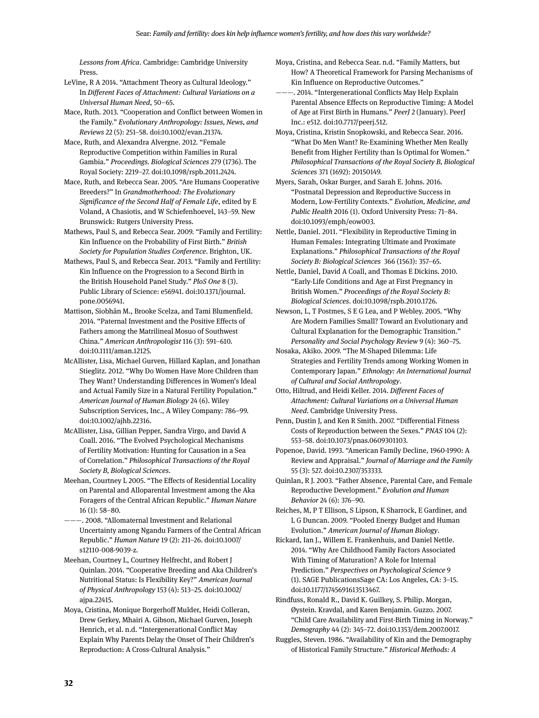*Lessons from Africa*. Cambridge: Cambridge University Press.

LeVine, R A 2014. "Attachment Theory as Cultural Ideology." In *Different Faces of Attachment: Cultural Variations on a Universal Human Need*, 50–65.

Mace, Ruth. 2013. "Cooperation and Conflict between Women in the Family." *Evolutionary Anthropology: Issues, News, and Reviews* 22 (5): 251–58. doi:10.1002/evan.21374.

Mace, Ruth, and Alexandra Alvergne. 2012. "Female Reproductive Competition within Families in Rural Gambia." *Proceedings. Biological Sciences* 279 (1736). The Royal Society: 2219–27. doi:10.1098/rspb.2011.2424.

Mace, Ruth, and Rebecca Sear. 2005. "Are Humans Cooperative Breeders?" In *Grandmotherhood: The Evolutionary Significance of the Second Half of Female Life*, edited by E Voland, A Chasiotis, and W Schiefenhoevel, 143–59. New Brunswick: Rutgers University Press.

Mathews, Paul S, and Rebecca Sear. 2009. "Family and Fertility: Kin Influence on the Probability of First Birth." *British Society for Population Studies Conference*. Brighton, UK.

Mathews, Paul S, and Rebecca Sear. 2013. "Family and Fertility: Kin Influence on the Progression to a Second Birth in the British Household Panel Study." *PloS One* 8 (3). Public Library of Science: e56941. doi:10.1371/journal. pone.0056941.

Mattison, Siobhán M., Brooke Scelza, and Tami Blumenfield. 2014. "Paternal Investment and the Positive Effects of Fathers among the Matrilineal Mosuo of Southwest China." *American Anthropologist* 116 (3): 591–610. doi:10.1111/aman.12125.

McAllister, Lisa, Michael Gurven, Hillard Kaplan, and Jonathan Stieglitz. 2012. "Why Do Women Have More Children than They Want? Understanding Differences in Women's Ideal and Actual Family Size in a Natural Fertility Population." *American Journal of Human Biology* 24 (6). Wiley Subscription Services, Inc., A Wiley Company: 786–99. doi:10.1002/ajhb.22316.

McAllister, Lisa, Gillian Pepper, Sandra Virgo, and David A Coall. 2016. "The Evolved Psychological Mechanisms of Fertility Motivation: Hunting for Causation in a Sea of Correlation." *Philosophical Transactions of the Royal Society B, Biological Sciences*.

Meehan, Courtney L 2005. "The Effects of Residential Locality on Parental and Alloparental Investment among the Aka Foragers of the Central African Republic." *Human Nature* 16 (1): 58–80.

———. 2008. "Allomaternal Investment and Relational Uncertainty among Ngandu Farmers of the Central African Republic." *Human Nature* 19 (2): 211–26. doi:10.1007/ s12110-008-9039-z.

Meehan, Courtney L, Courtney Helfrecht, and Robert J Quinlan. 2014. "Cooperative Breeding and Aka Children's Nutritional Status: Is Flexibility Key?" *American Journal of Physical Anthropology* 153 (4): 513–25. doi:10.1002/ ajpa.22415.

Moya, Cristina, Monique Borgerhoff Mulder, Heidi Colleran, Drew Gerkey, Mhairi A. Gibson, Michael Gurven, Joseph Henrich, et al. n.d. "Intergenerational Conflict May Explain Why Parents Delay the Onset of Their Children's Reproduction: A Cross-Cultural Analysis."

Moya, Cristina, and Rebecca Sear. n.d. "Family Matters, but How? A Theoretical Framework for Parsing Mechanisms of Kin Influence on Reproductive Outcomes."

———. 2014. "Intergenerational Conflicts May Help Explain Parental Absence Effects on Reproductive Timing: A Model of Age at First Birth in Humans." *PeerJ* 2 (January). PeerJ Inc.: e512. doi:10.7717/peerj.512.

Moya, Cristina, Kristin Snopkowski, and Rebecca Sear. 2016. "What Do Men Want? Re-Examining Whether Men Really Benefit from Higher Fertility than Is Optimal for Women." *Philosophical Transactions of the Royal Society B, Biological Sciences* 371 (1692): 20150149.

Myers, Sarah, Oskar Burger, and Sarah E. Johns. 2016. "Postnatal Depression and Reproductive Success in Modern, Low-Fertility Contexts." *Evolution, Medicine, and Public Health* 2016 (1). Oxford University Press: 71–84. doi:10.1093/emph/eow003.

Nettle, Daniel. 2011. "Flexibility in Reproductive Timing in Human Females: Integrating Ultimate and Proximate Explanations." *Philosophical Transactions of the Royal Society B: Biological Sciences* 366 (1563): 357–65.

Nettle, Daniel, David A Coall, and Thomas E Dickins. 2010. "Early-Life Conditions and Age at First Pregnancy in British Women." *Proceedings of the Royal Society B: Biological Sciences*. doi:10.1098/rspb.2010.1726.

Newson, L, T Postmes, S E G Lea, and P Webley. 2005. "Why Are Modern Families Small? Toward an Evolutionary and Cultural Explanation for the Demographic Transition." *Personality and Social Psychology Review* 9 (4): 360–75.

Nosaka, Akiko. 2009. "The M-Shaped Dilemma: Life Strategies and Fertility Trends among Working Women in Contemporary Japan." *Ethnology: An International Journal of Cultural and Social Anthropology*.

Otto, Hiltrud, and Heidi Keller. 2014. *Different Faces of Attachment: Cultural Variations on a Universal Human Need*. Cambridge University Press.

Penn, Dustin J, and Ken R Smith. 2007. "Differential Fitness Costs of Reproduction between the Sexes." *PNAS* 104 (2): 553–58. doi:10.1073/pnas.0609301103.

Popenoe, David. 1993. "American Family Decline, 1960-1990: A Review and Appraisal." *Journal of Marriage and the Family* 55 (3): 527. doi:10.2307/353333.

Quinlan, R J. 2003. "Father Absence, Parental Care, and Female Reproductive Development." *Evolution and Human Behavior* 24 (6): 376–90.

Reiches, M, P T Ellison, S Lipson, K Sharrock, E Gardiner, and L G Duncan. 2009. "Pooled Energy Budget and Human Evolution." *American Journal of Human Biology*.

Rickard, Ian J., Willem E. Frankenhuis, and Daniel Nettle. 2014. "Why Are Childhood Family Factors Associated With Timing of Maturation? A Role for Internal Prediction." *Perspectives on Psychological Science* 9 (1). SAGE PublicationsSage CA: Los Angeles, CA: 3–15. doi:10.1177/1745691613513467.

Rindfuss, Ronald R., David K. Guilkey, S. Philip. Morgan, Øystein. Kravdal, and Karen Benjamin. Guzzo. 2007. "Child Care Availability and First-Birth Timing in Norway." *Demography* 44 (2): 345–72. doi:10.1353/dem.2007.0017.

Ruggles, Steven. 1986. "Availability of Kin and the Demography of Historical Family Structure." *Historical Methods: A*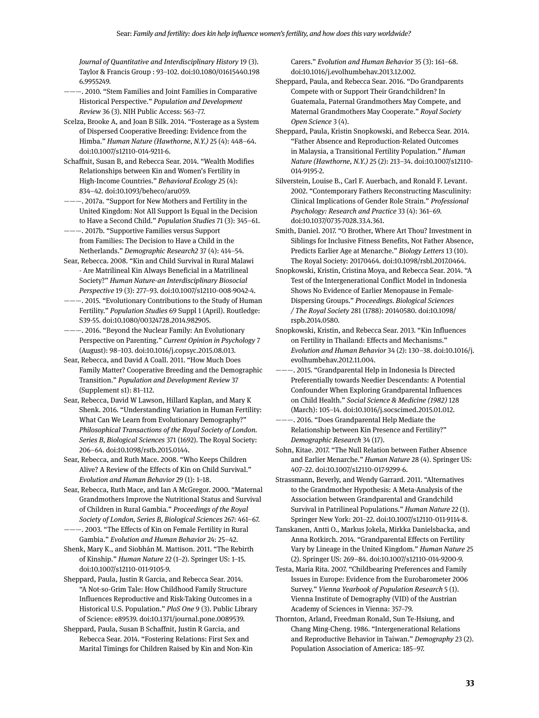*Journal of Quantitative and Interdisciplinary History* 19 (3). Taylor & Francis Group : 93–102. doi:10.1080/01615440.198 6.9955249.

- ———. 2010. "Stem Families and Joint Families in Comparative Historical Perspective." *Population and Development Review* 36 (3). NIH Public Access: 563–77.
- Scelza, Brooke A, and Joan B Silk. 2014. "Fosterage as a System of Dispersed Cooperative Breeding: Evidence from the Himba." *Human Nature (Hawthorne, N.Y.)* 25 (4): 448–64. doi:10.1007/s12110-014-9211-6.
- Schaffnit, Susan B, and Rebecca Sear. 2014. "Wealth Modifies Relationships between Kin and Women's Fertility in High-Income Countries." *Behavioral Ecology* 25 (4): 834–42. doi:10.1093/beheco/aru059.
- $-$ . 2017a. "Support for New Mothers and Fertility in the United Kingdom: Not All Support Is Equal in the Decision to Have a Second Child." *Population Studies* 71 (3): 345–61.
- $-$ . 2017b. "Supportive Families versus Support from Families: The Decision to Have a Child in the Netherlands." *Demographic Research2* 37 (4): 414–54.
- Sear, Rebecca. 2008. "Kin and Child Survival in Rural Malawi - Are Matrilineal Kin Always Beneficial in a Matrilineal Society?" *Human Nature-an Interdisciplinary Biosocial Perspective* 19 (3): 277–93. doi:10.1007/s12110-008-9042-4.
- ———. 2015. "Evolutionary Contributions to the Study of Human Fertility." *Population Studies* 69 Suppl 1 (April). Routledge: S39-55. doi:10.1080/00324728.2014.982905.
- ———. 2016. "Beyond the Nuclear Family: An Evolutionary Perspective on Parenting." *Current Opinion in Psychology* 7 (August): 98–103. doi:10.1016/j.copsyc.2015.08.013.
- Sear, Rebecca, and David A Coall. 2011. "How Much Does Family Matter? Cooperative Breeding and the Demographic Transition." *Population and Development Review* 37 (Supplement s1): 81–112.
- Sear, Rebecca, David W Lawson, Hillard Kaplan, and Mary K Shenk. 2016. "Understanding Variation in Human Fertility: What Can We Learn from Evolutionary Demography?" *Philosophical Transactions of the Royal Society of London. Series B, Biological Sciences* 371 (1692). The Royal Society: 206–64. doi:10.1098/rstb.2015.0144.
- Sear, Rebecca, and Ruth Mace. 2008. "Who Keeps Children Alive? A Review of the Effects of Kin on Child Survival." *Evolution and Human Behavior* 29 (1): 1–18.
- Sear, Rebecca, Ruth Mace, and Ian A McGregor. 2000. "Maternal Grandmothers Improve the Nutritional Status and Survival of Children in Rural Gambia." *Proceedings of the Royal Society of London, Series B, Biological Sciences* 267: 461–67.
- ———. 2003. "The Effects of Kin on Female Fertility in Rural Gambia." *Evolution and Human Behavior* 24: 25–42.
- Shenk, Mary K., and Siobhán M. Mattison. 2011. "The Rebirth of Kinship." *Human Nature* 22 (1–2). Springer US: 1–15. doi:10.1007/s12110-011-9105-9.
- Sheppard, Paula, Justin R Garcia, and Rebecca Sear. 2014. "A Not-so-Grim Tale: How Childhood Family Structure Influences Reproductive and Risk-Taking Outcomes in a Historical U.S. Population." *PloS One* 9 (3). Public Library of Science: e89539. doi:10.1371/journal.pone.0089539.
- Sheppard, Paula, Susan B Schaffnit, Justin R Garcia, and Rebecca Sear. 2014. "Fostering Relations: First Sex and Marital Timings for Children Raised by Kin and Non-Kin

Carers." *Evolution and Human Behavior* 35 (3): 161–68. doi:10.1016/j.evolhumbehav.2013.12.002.

- Sheppard, Paula, and Rebecca Sear. 2016. "Do Grandparents Compete with or Support Their Grandchildren? In Guatemala, Paternal Grandmothers May Compete, and Maternal Grandmothers May Cooperate." *Royal Society Open Science* 3 (4).
- Sheppard, Paula, Kristin Snopkowski, and Rebecca Sear. 2014. "Father Absence and Reproduction-Related Outcomes in Malaysia, a Transitional Fertility Population." *Human Nature (Hawthorne, N.Y.)* 25 (2): 213–34. doi:10.1007/s12110- 014-9195-2.
- Silverstein, Louise B., Carl F. Auerbach, and Ronald F. Levant. 2002. "Contemporary Fathers Reconstructing Masculinity: Clinical Implications of Gender Role Strain." *Professional Psychology: Research and Practice* 33 (4): 361–69. doi:10.1037/0735-7028.33.4.361.
- Smith, Daniel. 2017. "O Brother, Where Art Thou? Investment in Siblings for Inclusive Fitness Benefits, Not Father Absence, Predicts Earlier Age at Menarche." *Biology Letters* 13 (10). The Royal Society: 20170464. doi:10.1098/rsbl.2017.0464.
- Snopkowski, Kristin, Cristina Moya, and Rebecca Sear. 2014. "A Test of the Intergenerational Conflict Model in Indonesia Shows No Evidence of Earlier Menopause in Female-Dispersing Groups." *Proceedings. Biological Sciences / The Royal Society* 281 (1788): 20140580. doi:10.1098/ rspb.2014.0580.
- Snopkowski, Kristin, and Rebecca Sear. 2013. "Kin Influences on Fertility in Thailand: Effects and Mechanisms." *Evolution and Human Behavior* 34 (2): 130–38. doi:10.1016/j. evolhumbehav.2012.11.004.
- ———. 2015. "Grandparental Help in Indonesia Is Directed Preferentially towards Needier Descendants: A Potential Confounder When Exploring Grandparental Influences on Child Health." *Social Science & Medicine (1982)* 128 (March): 105–14. doi:10.1016/j.socscimed.2015.01.012.
- -. 2016. "Does Grandparental Help Mediate the Relationship between Kin Presence and Fertility?" *Demographic Research* 34 (17).
- Sohn, Kitae. 2017. "The Null Relation between Father Absence and Earlier Menarche." *Human Nature* 28 (4). Springer US: 407–22. doi:10.1007/s12110-017-9299-6.
- Strassmann, Beverly, and Wendy Garrard. 2011. "Alternatives to the Grandmother Hypothesis: A Meta-Analysis of the Association between Grandparental and Grandchild Survival in Patrilineal Populations." *Human Nature* 22 (1). Springer New York: 201–22. doi:10.1007/s12110-011-9114-8.
- Tanskanen, Antti O., Markus Jokela, Mirkka Danielsbacka, and Anna Rotkirch. 2014. "Grandparental Effects on Fertility Vary by Lineage in the United Kingdom." *Human Nature* 25 (2). Springer US: 269–84. doi:10.1007/s12110-014-9200-9.
- Testa, Maria Rita. 2007. "Childbearing Preferences and Family Issues in Europe: Evidence from the Eurobarometer 2006 Survey." *Vienna Yearbook of Population Research* 5 (1). Vienna Institute of Demography (VID) of the Austrian Academy of Sciences in Vienna: 357–79.
- Thornton, Arland, Freedman Ronald, Sun Te-Hsiung, and Chang Ming-Cheng. 1986. "Intergenerational Relations and Reproductive Behavior in Taiwan." *Demography* 23 (2). Population Association of America: 185–97.